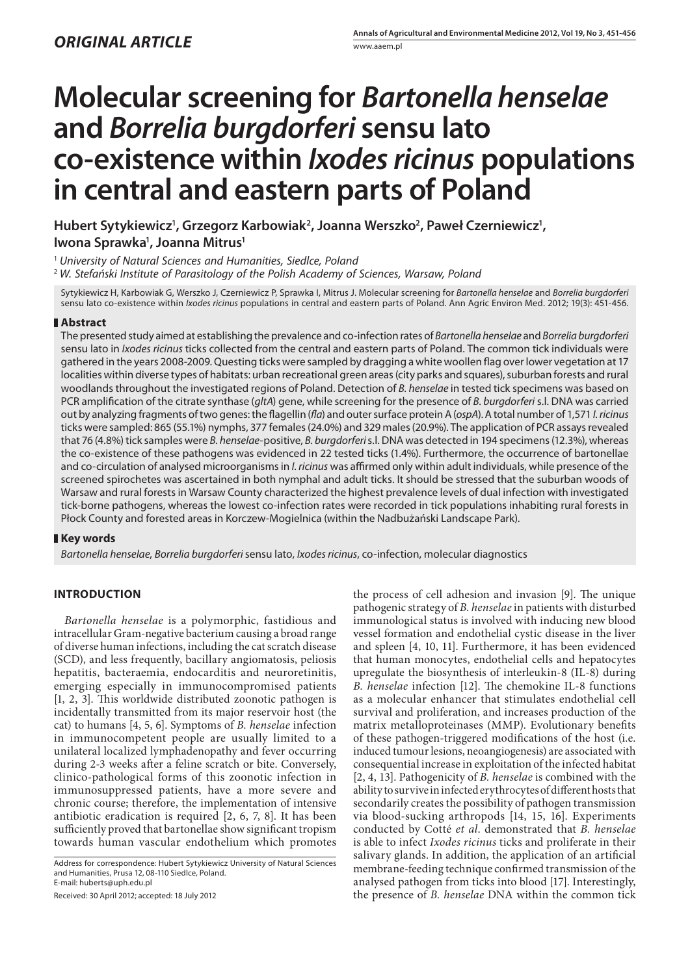# **Molecular screening for** *Bartonella henselae* **and** *Borrelia burgdorferi* **sensu lato co-existence within** *Ixodes ricinus* **populations in central and eastern parts of Poland**

**Hubert Sytykiewicz1 , Grzegorz Karbowiak2 , Joanna Werszko2 , Paweł Czerniewicz1 , Iwona Sprawka1 , Joanna Mitrus1**

<sup>1</sup> *University of Natural Sciences and Humanities, Siedlce, Poland*

<sup>2</sup> *W. Stefański Institute of Parasitology of the Polish Academy of Sciences, Warsaw, Poland*

Sytykiewicz H, Karbowiak G, Werszko J, Czerniewicz P, Sprawka I, Mitrus J. Molecular screening for *Bartonella henselae* and *Borrelia burgdorferi*  sensu lato co-existence within *Ixodes ricinus* populations in central and eastern parts of Poland. Ann Agric Environ Med. 2012; 19(3): 451-456.

## **Abstract**

The presented study aimed at establishing the prevalence and co-infection rates of *Bartonella henselae* and *Borrelia burgdorferi* sensu lato in *Ixodes ricinus* ticks collected from the central and eastern parts of Poland. The common tick individuals were gathered in the years 2008-2009. Questing ticks were sampled by dragging a white woollen flag over lower vegetation at 17 localities within diverse types of habitats: urban recreational green areas (city parks and squares), suburban forests and rural woodlands throughout the investigated regions of Poland. Detection of *B. henselae* in tested tick specimens was based on PCR amplification of the citrate synthase (*gltA*) gene, while screening for the presence of *B. burgdorferi* s.l. DNA was carried out by analyzing fragments of two genes: the flagellin (*fla*) and outer surface protein A (*ospA*). A total number of 1,571 *I. ricinus* ticks were sampled: 865 (55.1%) nymphs, 377 females (24.0%) and 329 males (20.9%). The application of PCR assays revealed that 76 (4.8%) tick samples were *B. henselae*-positive, *B. burgdorferi* s.l. DNA was detected in 194 specimens (12.3%), whereas the co-existence of these pathogens was evidenced in 22 tested ticks (1.4%). Furthermore, the occurrence of bartonellae and co-circulation of analysed microorganisms in *I. ricinus* was affirmed only within adult individuals, while presence of the screened spirochetes was ascertained in both nymphal and adult ticks. It should be stressed that the suburban woods of Warsaw and rural forests in Warsaw County characterized the highest prevalence levels of dual infection with investigated tick-borne pathogens, whereas the lowest co-infection rates were recorded in tick populations inhabiting rural forests in Płock County and forested areas in Korczew-Mogielnica (within the Nadbużański Landscape Park).

## **Key words**

*Bartonella henselae*, *Borrelia burgdorferi* sensu lato, *Ixodes ricinus*, co-infection, molecular diagnostics

## **INTRODUCTION**

*Bartonella henselae* is a polymorphic, fastidious and intracellular Gram-negative bacterium causing a broad range of diverse human infections, including the cat scratch disease (SCD), and less frequently, bacillary angiomatosis, peliosis hepatitis, bacteraemia, endocarditis and neuroretinitis, emerging especially in immunocompromised patients [1, 2, 3]. This worldwide distributed zoonotic pathogen is incidentally transmitted from its major reservoir host (the cat) to humans [4, 5, 6]. Symptoms of *B. henselae* infection in immunocompetent people are usually limited to a unilateral localized lymphadenopathy and fever occurring during 2-3 weeks after a feline scratch or bite. Conversely, clinico-pathological forms of this zoonotic infection in immunosuppressed patients, have a more severe and chronic course; therefore, the implementation of intensive antibiotic eradication is required [2, 6, 7, 8]. It has been sufficiently proved that bartonellae show significant tropism towards human vascular endothelium which promotes

Received: 30 April 2012; accepted: 18 July 2012

the process of cell adhesion and invasion [9]. The unique pathogenic strategy of *B. henselae* in patients with disturbed immunological status is involved with inducing new blood vessel formation and endothelial cystic disease in the liver and spleen [4, 10, 11]. Furthermore, it has been evidenced that human monocytes, endothelial cells and hepatocytes upregulate the biosynthesis of interleukin-8 (IL-8) during *B. henselae* infection [12]. The chemokine IL-8 functions as a molecular enhancer that stimulates endothelial cell survival and proliferation, and increases production of the matrix metalloproteinases (MMP). Evolutionary benefits of these pathogen-triggered modifications of the host (i.e. induced tumour lesions, neoangiogenesis) are associated with consequential increase in exploitation of the infected habitat [2, 4, 13]. Pathogenicity of *B. henselae* is combined with the ability to survive in infected erythrocytes of different hosts that secondarily creates the possibility of pathogen transmission via blood-sucking arthropods [14, 15, 16]. Experiments conducted by Cotté *et al*. demonstrated that *B. henselae* is able to infect *Ixodes ricinus* ticks and proliferate in their salivary glands. In addition, the application of an artificial membrane-feeding technique confirmed transmission of the analysed pathogen from ticks into blood [17]. Interestingly, the presence of *B. henselae* DNA within the common tick

Address for correspondence: Hubert Sytykiewicz University of Natural Sciences and Humanities, Prusa 12, 08-110 Siedlce, Poland. E-mail: huberts@uph.edu.pl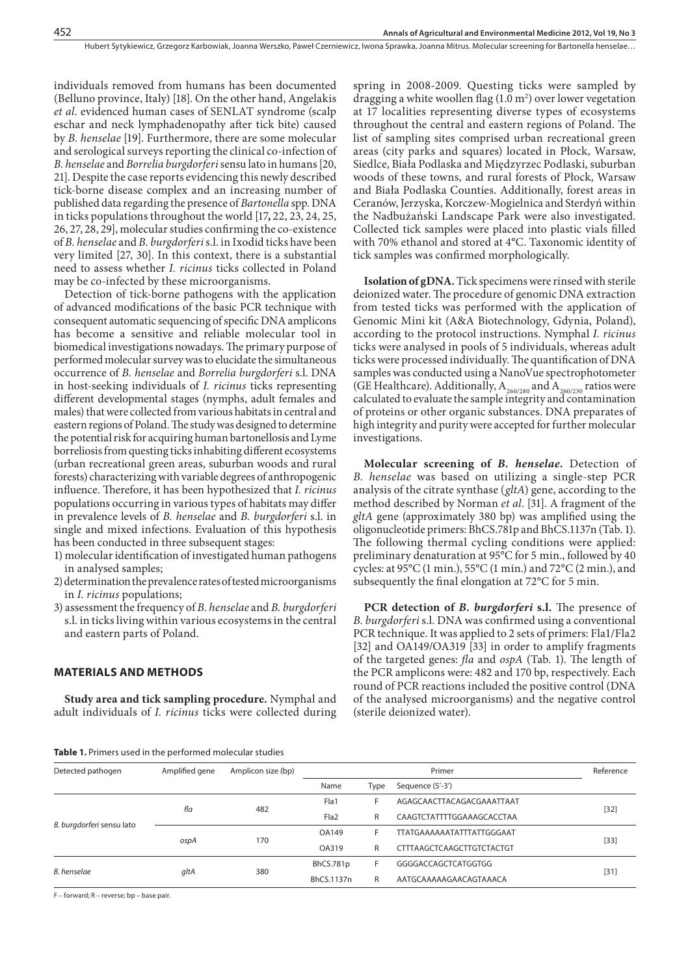individuals removed from humans has been documented (Belluno province, Italy) [18]. On the other hand, Angelakis *et al*. evidenced human cases of SENLAT syndrome (scalp eschar and neck lymphadenopathy after tick bite) caused by *B. henselae* [19]. Furthermore, there are some molecular and serological surveys reporting the clinical co-infection of *B. henselae* and *Borrelia burgdorferi* sensu lato in humans [20, 21]. Despite the case reports evidencing this newly described tick-borne disease complex and an increasing number of published data regarding the presence of *Bartonella* spp. DNA in ticks populations throughout the world [17**,** 22, 23, 24, 25, 26, 27, 28, 29], molecular studies confirming the co-existence of *B. henselae* and *B. burgdorferi* s.l. in Ixodid ticks have been very limited [27, 30]. In this context, there is a substantial need to assess whether *I. ricinus* ticks collected in Poland may be co-infected by these microorganisms.

Detection of tick-borne pathogens with the application of advanced modifications of the basic PCR technique with consequent automatic sequencing of specific DNA amplicons has become a sensitive and reliable molecular tool in biomedical investigations nowadays. The primary purpose of performed molecular survey was to elucidate the simultaneous occurrence of *B. henselae* and *Borrelia burgdorferi* s.l. DNA in host-seeking individuals of *I. ricinus* ticks representing different developmental stages (nymphs, adult females and males) that were collected from various habitats in central and eastern regions of Poland. The study was designed to determine the potential risk for acquiring human bartonellosis and Lyme borreliosis from questing ticks inhabiting different ecosystems (urban recreational green areas, suburban woods and rural forests) characterizing with variable degrees of anthropogenic influence. Therefore, it has been hypothesized that *I. ricinus* populations occurring in various types of habitats may differ in prevalence levels of *B. henselae* and *B. burgdorferi* s.l. in single and mixed infections. Evaluation of this hypothesis has been conducted in three subsequent stages:

- 1) molecular identification of investigated human pathogens in analysed samples;
- 2) determination the prevalence rates of tested microorganisms in *I. ricinus* populations;
- 3) assessment the frequency of *B. henselae* and *B. burgdorferi* s.l. in ticks living within various ecosystems in the central and eastern parts of Poland.

#### **MATERIALS AND METHODS**

**Study area and tick sampling procedure.** Nymphal and adult individuals of *I. ricinus* ticks were collected during spring in 2008-2009. Questing ticks were sampled by dragging a white woollen flag  $(1.0 \text{ m}^2)$  over lower vegetation at 17 localities representing diverse types of ecosystems throughout the central and eastern regions of Poland. The list of sampling sites comprised urban recreational green areas (city parks and squares) located in Płock, Warsaw, Siedlce, Biała Podlaska and Międzyrzec Podlaski, suburban woods of these towns, and rural forests of Płock, Warsaw and Biała Podlaska Counties. Additionally, forest areas in Ceranów, Jerzyska, Korczew-Mogielnica and Sterdyń within the Nadbużański Landscape Park were also investigated. Collected tick samples were placed into plastic vials filled with 70% ethanol and stored at 4°C. Taxonomic identity of tick samples was confirmed morphologically.

**Isolation of gDNA.** Tick specimens were rinsed with sterile deionized water. The procedure of genomic DNA extraction from tested ticks was performed with the application of Genomic Mini kit (A&A Biotechnology, Gdynia, Poland), according to the protocol instructions. Nymphal *I. ricinus* ticks were analysed in pools of 5 individuals, whereas adult ticks were processed individually. The quantification of DNA samples was conducted using a NanoVue spectrophotometer (GE Healthcare). Additionally,  $A_{260/280}$  and  $A_{260/230}$  ratios were calculated to evaluate the sample integrity and contamination of proteins or other organic substances. DNA preparates of high integrity and purity were accepted for further molecular investigations.

**Molecular screening of** *B. henselae***.** Detection of *B. henselae* was based on utilizing a single-step PCR analysis of the citrate synthase (*gltA*) gene, according to the method described by Norman *et al*. [31]. A fragment of the *gltA* gene (approximately 380 bp) was amplified using the oligonucleotide primers: BhCS.781p and BhCS.1137n (Tab. 1). The following thermal cycling conditions were applied: preliminary denaturation at 95°C for 5 min., followed by 40 cycles: at 95°C (1 min.), 55°C (1 min.) and 72°C (2 min.), and subsequently the final elongation at 72°C for 5 min.

**PCR detection of** *B. burgdorferi* **s.l.** The presence of *B. burgdorferi* s.l. DNA was confirmed using a conventional PCR technique. It was applied to 2 sets of primers: Fla1/Fla2 [32] and OA149/OA319 [33] in order to amplify fragments of the targeted genes: *fla* and *ospA* (Tab. 1). The length of the PCR amplicons were: 482 and 170 bp, respectively. Each round of PCR reactions included the positive control (DNA of the analysed microorganisms) and the negative control (sterile deionized water).

#### **Table 1.** Primers used in the performed molecular studies

| Detected pathogen         | Amplified gene | Amplicon size (bp) | Primer           |      |                           | Reference |  |
|---------------------------|----------------|--------------------|------------------|------|---------------------------|-----------|--|
|                           |                |                    | Name             | Type | Sequence (5'-3')          |           |  |
| B. burgdorferi sensu lato | fla            | 482                | Fla1             |      | AGAGCAACTTACAGACGAAATTAAT | $[32]$    |  |
|                           |                |                    | Fla <sub>2</sub> | R    | CAAGTCTATTTTGGAAAGCACCTAA |           |  |
|                           | ospA           | 170                | OA149            |      | TTATGAAAAAATATTTATTGGGAAT |           |  |
|                           |                |                    | OA319            | R    | CTTTAAGCTCAAGCTTGTCTACTGT | $[33]$    |  |
| <b>B.</b> henselae        | gltA           | 380                | BhCS.781p        |      | GGGGACCAGCTCATGGTGG       |           |  |
|                           |                |                    | BhCS.1137n       | R    | AATGCAAAAAGAACAGTAAACA    | $[31]$    |  |

F – forward; R – reverse; bp – base pair.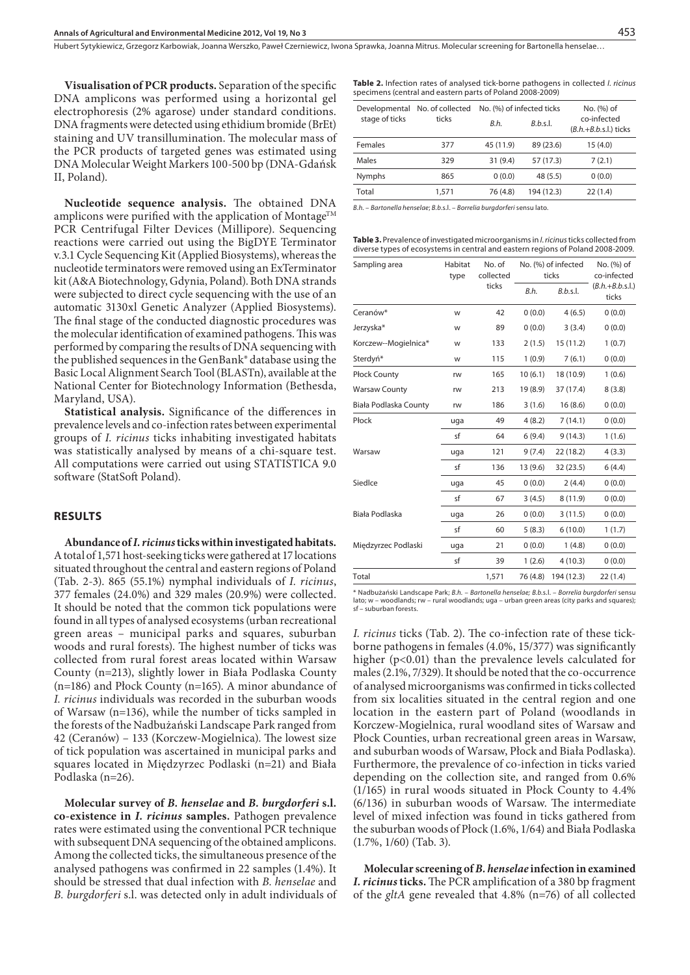Hubert Sytykiewicz, Grzegorz Karbowiak, Joanna Werszko, Paweł Czerniewicz, Iwona Sprawka, Joanna Mitrus. Molecular screening for Bartonella henselae…

**Visualisation of PCR products.** Separation of the specific DNA amplicons was performed using a horizontal gel electrophoresis (2% agarose) under standard conditions. DNA fragments were detected using ethidium bromide (BrEt) staining and UV transillumination. The molecular mass of the PCR products of targeted genes was estimated using DNA Molecular Weight Markers 100-500 bp (DNA-Gdańsk II, Poland).

**Nucleotide sequence analysis.** The obtained DNA amplicons were purified with the application of Montage<sup>TM</sup> PCR Centrifugal Filter Devices (Millipore). Sequencing reactions were carried out using the BigDYE Terminator v.3.1 Cycle Sequencing Kit (Applied Biosystems), whereas the nucleotide terminators were removed using an ExTerminator kit (A&A Biotechnology, Gdynia, Poland). Both DNA strands were subjected to direct cycle sequencing with the use of an automatic 3130xl Genetic Analyzer (Applied Biosystems). The final stage of the conducted diagnostic procedures was the molecular identification of examined pathogens. This was performed by comparing the results of DNA sequencing with the published sequences in the GenBank® database using the Basic Local Alignment Search Tool (BLASTn), available at the National Center for Biotechnology Information (Bethesda, Maryland, USA).

**Statistical analysis.** Significance of the differences in prevalence levels and co-infection rates between experimental groups of *I. ricinus* ticks inhabiting investigated habitats was statistically analysed by means of a chi-square test. All computations were carried out using STATISTICA 9.0 software (StatSoft Poland).

# **RESULTS**

**Abundance of** *I. ricinus* **ticks within investigated habitats.**  A total of 1,571 host-seeking ticks were gathered at 17 locations situated throughout the central and eastern regions of Poland (Tab. 2-3). 865 (55.1%) nymphal individuals of *I. ricinus*, 377 females (24.0%) and 329 males (20.9%) were collected. It should be noted that the common tick populations were found in all types of analysed ecosystems (urban recreational green areas – municipal parks and squares, suburban woods and rural forests). The highest number of ticks was collected from rural forest areas located within Warsaw County (n=213), slightly lower in Biała Podlaska County (n=186) and Płock County (n=165). A minor abundance of *I. ricinus* individuals was recorded in the suburban woods of Warsaw (n=136), while the number of ticks sampled in the forests of the Nadbużański Landscape Park ranged from 42 (Ceranów) – 133 (Korczew-Mogielnica). The lowest size of tick population was ascertained in municipal parks and squares located in Międzyrzec Podlaski (n=21) and Biała Podlaska (n=26).

**Molecular survey of** *B. henselae* **and** *B. burgdorferi* **s.l. co-existence in** *I. ricinus* **samples.** Pathogen prevalence rates were estimated using the conventional PCR technique with subsequent DNA sequencing of the obtained amplicons. Among the collected ticks, the simultaneous presence of the analysed pathogens was confirmed in 22 samples (1.4%). It should be stressed that dual infection with *B. henselae* and *B. burgdorferi* s.l. was detected only in adult individuals of **Table 2.** Infection rates of analysed tick-borne pathogens in collected *I. ricinus*  specimens (central and eastern parts of Poland 2008-2009)

| Developmental No. of collected |           |            | No. (%) of                             |  |
|--------------------------------|-----------|------------|----------------------------------------|--|
|                                | B.h.      | B.b.s.     | co-infected<br>$(B.h.+B.b.s.l.)$ ticks |  |
| 377                            | 45 (11.9) | 89 (23.6)  | 15(4.0)                                |  |
| 329                            | 31(9.4)   | 57 (17.3)  | 7(2.1)                                 |  |
| 865                            | 0(0.0)    | 48 (5.5)   | 0(0.0)                                 |  |
| 1,571                          | 76 (4.8)  | 194 (12.3) | 22(1.4)                                |  |
|                                | ticks     |            | No. (%) of infected ticks              |  |

*B.h.* – *Bartonella henselae*; *B.b*.s.l. – *Borrelia burgdorferi* sensu lato.

**Table 3.** Prevalence of investigated microorganisms in *I. ricinus* ticks collected from diverse types of ecosystems in central and eastern regions of Poland 2008-2009.

| Sampling area         | Habitat<br>type | No. of<br>collected<br>ticks | No. (%) of infected<br>ticks |            | No. (%) of<br>co-infected  |
|-----------------------|-----------------|------------------------------|------------------------------|------------|----------------------------|
|                       |                 |                              | B.h.                         | B.b.s.     | $(B.h.+B.b.s.l.)$<br>ticks |
| Ceranów*              | W               | 42                           | 0(0.0)                       | 4(6.5)     | 0(0.0)                     |
| Jerzyska*             | W               | 89                           | 0(0.0)                       | 3(3.4)     | 0(0.0)                     |
| Korczew--Mogielnica*  | W               | 133                          | 2(1.5)                       | 15(11.2)   | 1(0.7)                     |
| Sterdyń*              | W               | 115                          | 1(0.9)                       | 7(6.1)     | 0(0.0)                     |
| Płock County          | rw              | 165                          | 10(6.1)                      | 18 (10.9)  | 1(0.6)                     |
| <b>Warsaw County</b>  | rw              | 213                          | 19 (8.9)                     | 37 (17.4)  | 8(3.8)                     |
| Biała Podlaska County | rw              | 186                          | 3(1.6)                       | 16(8.6)    | 0(0.0)                     |
| Płock                 | uga             | 49                           | 4(8.2)                       | 7(14.1)    | 0(0.0)                     |
|                       | sf              | 64                           | 6(9.4)                       | 9(14.3)    | 1(1.6)                     |
| Warsaw                | uga             | 121                          | 9(7.4)                       | 22 (18.2)  | 4(3.3)                     |
|                       | sf              | 136                          | 13(9.6)                      | 32 (23.5)  | 6(4.4)                     |
| Siedlce               | uga             | 45                           | 0(0.0)                       | 2(4.4)     | 0(0.0)                     |
|                       | sf              | 67                           | 3(4.5)                       | 8(11.9)    | 0(0.0)                     |
| Biała Podlaska        | uga             | 26                           | 0(0.0)                       | 3(11.5)    | 0(0.0)                     |
|                       | sf              | 60                           | 5(8.3)                       | 6(10.0)    | 1(1.7)                     |
| Międzyrzec Podlaski   | uga             | 21                           | 0(0.0)                       | 1(4.8)     | 0(0.0)                     |
|                       | sf              | 39                           | 1(2.6)                       | 4(10.3)    | 0(0.0)                     |
| Total                 |                 | 1,571                        | 76 (4.8)                     | 194 (12.3) | 22(1.4)                    |

\* Nadbużański Landscape Park; *B.h.* – *Bartonella henselae; B.b.*s.l. – *Borrelia burgdorferi* sensu lato; w – woodlands; rw – rural woodlands; uga – urban green areas (city parks and squares); sf – suburban forests.

*I. ricinus* ticks (Tab. 2). The co-infection rate of these tickborne pathogens in females (4.0%, 15/377) was significantly higher (p<0.01) than the prevalence levels calculated for males (2.1%, 7/329). It should be noted that the co-occurrence of analysed microorganisms was confirmed in ticks collected from six localities situated in the central region and one location in the eastern part of Poland (woodlands in Korczew-Mogielnica, rural woodland sites of Warsaw and Płock Counties, urban recreational green areas in Warsaw, and suburban woods of Warsaw, Płock and Biała Podlaska). Furthermore, the prevalence of co-infection in ticks varied depending on the collection site, and ranged from 0.6% (1/165) in rural woods situated in Płock County to 4.4% (6/136) in suburban woods of Warsaw. The intermediate level of mixed infection was found in ticks gathered from the suburban woods of Płock (1.6%, 1/64) and Biała Podlaska (1.7%, 1/60) (Tab. 3).

**Molecular screening of** *B. henselae* **infection in examined**  *I. ricinus* **ticks.** The PCR amplification of a 380 bp fragment of the *gltA* gene revealed that 4.8% (n=76) of all collected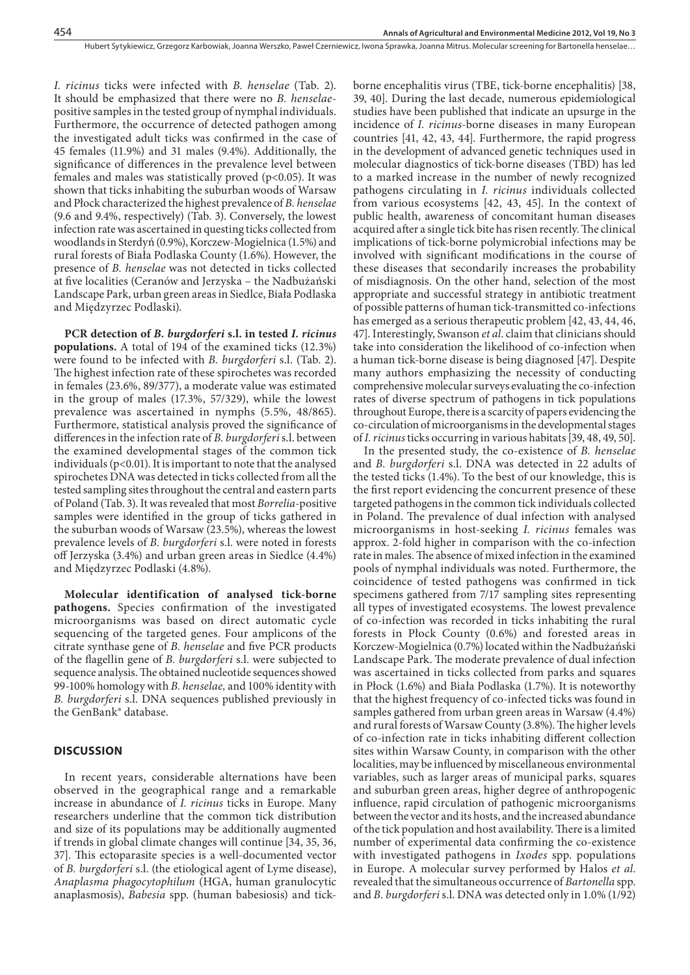Hubert Sytykiewicz, Grzegorz Karbowiak, Joanna Werszko, Paweł Czerniewicz, Iwona Sprawka, Joanna Mitrus. Molecular screening for Bartonella henselae…

*I. ricinus* ticks were infected with *B. henselae* (Tab. 2). It should be emphasized that there were no *B. henselae*positive samples in the tested group of nymphal individuals. Furthermore, the occurrence of detected pathogen among the investigated adult ticks was confirmed in the case of 45 females (11.9%) and 31 males (9.4%). Additionally, the significance of differences in the prevalence level between females and males was statistically proved  $(p<0.05)$ . It was shown that ticks inhabiting the suburban woods of Warsaw and Płock characterized the highest prevalence of *B. henselae* (9.6 and 9.4%, respectively) (Tab. 3). Conversely, the lowest infection rate was ascertained in questing ticks collected from woodlands in Sterdyń (0.9%), Korczew-Mogielnica (1.5%) and rural forests of Biała Podlaska County (1.6%). However, the presence of *B. henselae* was not detected in ticks collected at five localities (Ceranów and Jerzyska – the Nadbużański Landscape Park, urban green areas in Siedlce, Biała Podlaska and Międzyrzec Podlaski).

**PCR detection of** *B. burgdorferi* **s.l. in tested** *I. ricinus* **populations.** A total of 194 of the examined ticks (12.3%) were found to be infected with *B. burgdorferi* s.l. (Tab. 2). The highest infection rate of these spirochetes was recorded in females (23.6%, 89/377), a moderate value was estimated in the group of males (17.3%, 57/329), while the lowest prevalence was ascertained in nymphs (5.5%, 48/865). Furthermore, statistical analysis proved the significance of differences in the infection rate of *B. burgdorferi* s.l. between the examined developmental stages of the common tick individuals ( $p<0.01$ ). It is important to note that the analysed spirochetes DNA was detected in ticks collected from all the tested sampling sites throughout the central and eastern parts of Poland (Tab. 3). It was revealed that most *Borrelia*-positive samples were identified in the group of ticks gathered in the suburban woods of Warsaw (23.5%), whereas the lowest prevalence levels of *B. burgdorferi* s.l. were noted in forests off Jerzyska (3.4%) and urban green areas in Siedlce (4.4%) and Międzyrzec Podlaski (4.8%).

**Molecular identification of analysed tick-borne pathogens.** Species confirmation of the investigated microorganisms was based on direct automatic cycle sequencing of the targeted genes. Four amplicons of the citrate synthase gene of *B. henselae* and five PCR products of the flagellin gene of *B. burgdorferi* s.l. were subjected to sequence analysis. The obtained nucleotide sequences showed 99-100% homology with *B. henselae,* and 100% identity with *B. burgdorferi* s.l. DNA sequences published previously in the GenBank® database.

#### **DISCUSSION**

In recent years, considerable alternations have been observed in the geographical range and a remarkable increase in abundance of *I. ricinus* ticks in Europe. Many researchers underline that the common tick distribution and size of its populations may be additionally augmented if trends in global climate changes will continue [34, 35, 36, 37]. This ectoparasite species is a well-documented vector of *B. burgdorferi* s.l. (the etiological agent of Lyme disease), *Anaplasma phagocytophilum* (HGA, human granulocytic anaplasmosis), *Babesia* spp. (human babesiosis) and tickborne encephalitis virus (TBE, tick-borne encephalitis) [38, 39, 40]. During the last decade, numerous epidemiological studies have been published that indicate an upsurge in the incidence of *I. ricinus*-borne diseases in many European countries [41, 42, 43, 44]. Furthermore, the rapid progress in the development of advanced genetic techniques used in molecular diagnostics of tick-borne diseases (TBD) has led to a marked increase in the number of newly recognized pathogens circulating in *I. ricinus* individuals collected from various ecosystems [42, 43, 45]. In the context of public health, awareness of concomitant human diseases acquired after a single tick bite has risen recently. The clinical implications of tick-borne polymicrobial infections may be involved with significant modifications in the course of these diseases that secondarily increases the probability of misdiagnosis. On the other hand, selection of the most appropriate and successful strategy in antibiotic treatment of possible patterns of human tick-transmitted co-infections has emerged as a serious therapeutic problem [42, 43, 44, 46, 47]. Interestingly, Swanson *et al*. claim that clinicians should take into consideration the likelihood of co-infection when a human tick-borne disease is being diagnosed [47]. Despite many authors emphasizing the necessity of conducting comprehensive molecular surveys evaluating the co-infection rates of diverse spectrum of pathogens in tick populations throughout Europe, there is a scarcity of papers evidencing the co-circulation of microorganisms in the developmental stages of *I. ricinus* ticks occurring in various habitats [39, 48, 49, 50].

In the presented study, the co-existence of *B. henselae* and *B. burgdorferi* s.l. DNA was detected in 22 adults of the tested ticks (1.4%). To the best of our knowledge, this is the first report evidencing the concurrent presence of these targeted pathogens in the common tick individuals collected in Poland. The prevalence of dual infection with analysed microorganisms in host-seeking *I. ricinus* females was approx. 2-fold higher in comparison with the co-infection rate in males. The absence of mixed infection in the examined pools of nymphal individuals was noted. Furthermore, the coincidence of tested pathogens was confirmed in tick specimens gathered from 7/17 sampling sites representing all types of investigated ecosystems. The lowest prevalence of co-infection was recorded in ticks inhabiting the rural forests in Płock County (0.6%) and forested areas in Korczew-Mogielnica (0.7%) located within the Nadbużański Landscape Park. The moderate prevalence of dual infection was ascertained in ticks collected from parks and squares in Płock (1.6%) and Biała Podlaska (1.7%). It is noteworthy that the highest frequency of co-infected ticks was found in samples gathered from urban green areas in Warsaw (4.4%) and rural forests of Warsaw County (3.8%). The higher levels of co-infection rate in ticks inhabiting different collection sites within Warsaw County, in comparison with the other localities, may be influenced by miscellaneous environmental variables, such as larger areas of municipal parks, squares and suburban green areas, higher degree of anthropogenic influence, rapid circulation of pathogenic microorganisms between the vector and its hosts, and the increased abundance of the tick population and host availability. There is a limited number of experimental data confirming the co-existence with investigated pathogens in *Ixodes* spp. populations in Europe. A molecular survey performed by Halos *et al*. revealed that the simultaneous occurrence of *Bartonella* spp. and *B. burgdorferi* s.l. DNA was detected only in 1.0% (1/92)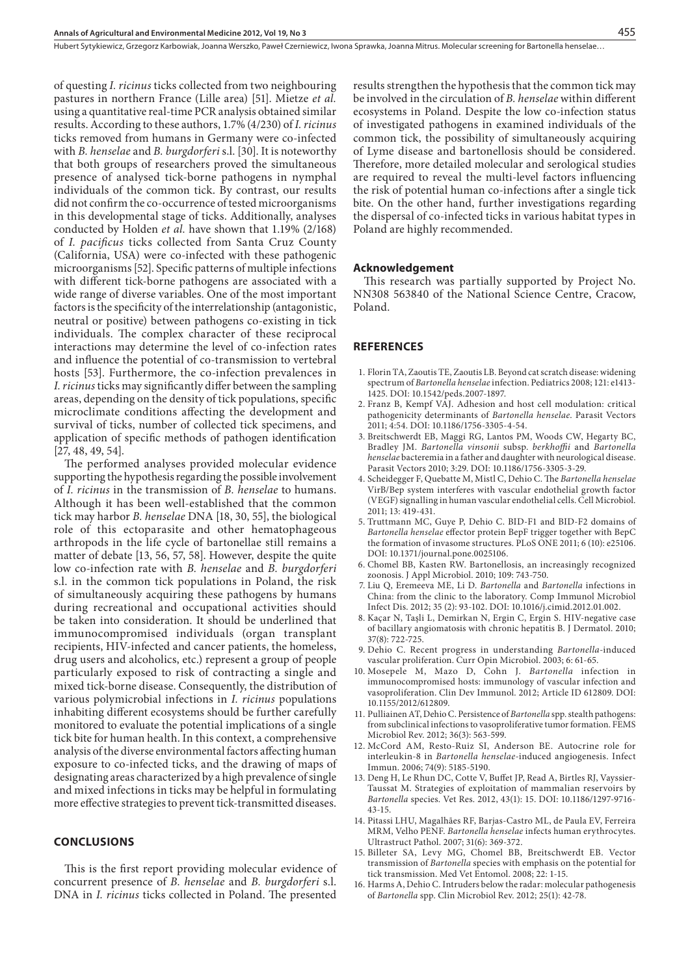of questing *I. ricinus* ticks collected from two neighbouring pastures in northern France (Lille area) [51]. Mietze *et al.* using a quantitative real-time PCR analysis obtained similar results. According to these authors, 1.7% (4/230) of *I. ricinus* ticks removed from humans in Germany were co-infected with *B. henselae* and *B. burgdorferi* s.l. [30]. It is noteworthy that both groups of researchers proved the simultaneous presence of analysed tick-borne pathogens in nymphal individuals of the common tick. By contrast, our results did not confirm the co-occurrence of tested microorganisms in this developmental stage of ticks. Additionally, analyses conducted by Holden *et al.* have shown that 1.19% (2/168) of *I. pacificus* ticks collected from Santa Cruz County (California, USA) were co-infected with these pathogenic microorganisms [52]. Specific patterns of multiple infections with different tick-borne pathogens are associated with a wide range of diverse variables. One of the most important factors is the specificity of the interrelationship (antagonistic, neutral or positive) between pathogens co-existing in tick individuals. The complex character of these reciprocal interactions may determine the level of co-infection rates and influence the potential of co-transmission to vertebral hosts [53]. Furthermore, the co-infection prevalences in *I. ricinus* ticks may significantly differ between the sampling areas, depending on the density of tick populations, specific microclimate conditions affecting the development and survival of ticks, number of collected tick specimens, and application of specific methods of pathogen identification [27, 48, 49, 54].

The performed analyses provided molecular evidence supporting the hypothesis regarding the possible involvement of *I. ricinus* in the transmission of *B. henselae* to humans. Although it has been well-established that the common tick may harbor *B. henselae* DNA [18, 30, 55], the biological role of this ectoparasite and other hematophageous arthropods in the life cycle of bartonellae still remains a matter of debate [13, 56, 57, 58]. However, despite the quite low co-infection rate with *B. henselae* and *B. burgdorferi* s.l. in the common tick populations in Poland, the risk of simultaneously acquiring these pathogens by humans during recreational and occupational activities should be taken into consideration. It should be underlined that immunocompromised individuals (organ transplant recipients, HIV-infected and cancer patients, the homeless, drug users and alcoholics, etc.) represent a group of people particularly exposed to risk of contracting a single and mixed tick-borne disease. Consequently, the distribution of various polymicrobial infections in *I. ricinus* populations inhabiting different ecosystems should be further carefully monitored to evaluate the potential implications of a single tick bite for human health. In this context, a comprehensive analysis of the diverse environmental factors affecting human exposure to co-infected ticks, and the drawing of maps of designating areas characterized by a high prevalence of single and mixed infections in ticks may be helpful in formulating more effective strategies to prevent tick-transmitted diseases.

# **CONCLUSIONS**

This is the first report providing molecular evidence of concurrent presence of *B. henselae* and *B. burgdorferi* s.l. DNA in *I. ricinus* ticks collected in Poland. The presented

results strengthen the hypothesis that the common tick may be involved in the circulation of *B. henselae* within different ecosystems in Poland. Despite the low co-infection status of investigated pathogens in examined individuals of the common tick, the possibility of simultaneously acquiring of Lyme disease and bartonellosis should be considered. Therefore, more detailed molecular and serological studies are required to reveal the multi-level factors influencing the risk of potential human co-infections after a single tick bite. On the other hand, further investigations regarding the dispersal of co-infected ticks in various habitat types in Poland are highly recommended.

#### **Acknowledgement**

This research was partially supported by Project No. NN308 563840 of the National Science Centre, Cracow, Poland.

#### **References**

- 1. Florin TA, Zaoutis TE, Zaoutis LB. Beyond cat scratch disease: widening spectrum of *Bartonella henselae* infection. Pediatrics 2008; 121: e1413- 1425. DOI: 10.1542/peds.2007-1897.
- 2. Franz B, Kempf VAJ. Adhesion and host cell modulation: critical pathogenicity determinants of *Bartonella henselae*. Parasit Vectors 2011; 4:54. DOI: 10.1186/1756-3305-4-54.
- 3. Breitschwerdt EB, Maggi RG, Lantos PM, Woods CW, Hegarty BC, Bradley JM. *Bartonella vinsonii* subsp. *berkhoffii* and *Bartonella henselae* bacteremia in a father and daughter with neurological disease. Parasit Vectors 2010; 3:29. DOI: 10.1186/1756-3305-3-29.
- 4. Scheidegger F, Quebatte M, Mistl C, Dehio C. The *Bartonella henselae* VirB/Bep system interferes with vascular endothelial growth factor (VEGF) signalling in human vascular endothelial cells. Cell Microbiol. 2011; 13: 419-431.
- 5. Truttmann MC, Guye P, Dehio C. BID-F1 and BID-F2 domains of *Bartonella henselae* effector protein BepF trigger together with BepC the formation of invasome structures. PLoS ONE 2011; 6 (10): e25106. DOI: 10.1371/journal.pone.0025106.
- 6. Chomel BB, Kasten RW. Bartonellosis, an increasingly recognized zoonosis. J Appl Microbiol. 2010; 109: 743-750.
- 7. Liu Q, Eremeeva ME, Li D. *Bartonella* and *Bartonella* infections in China: from the clinic to the laboratory. Comp Immunol Microbiol Infect Dis. 2012; 35 (2): 93-102. DOI: 10.1016/j.cimid.2012.01.002.
- 8. Kaçar N, Taşli L, Demirkan N, Ergin C, Ergin S. HIV-negative case of bacillary angiomatosis with chronic hepatitis B. J Dermatol. 2010; 37(8): 722-725.
- 9. Dehio C. Recent progress in understanding *Bartonella*-induced vascular proliferation. Curr Opin Microbiol. 2003; 6: 61-65.
- 10. Mosepele M, Mazo D, Cohn J. *Bartonella* infection in immunocompromised hosts: immunology of vascular infection and vasoproliferation. Clin Dev Immunol. 2012; Article ID 612809. DOI: 10.1155/2012/612809.
- 11. Pulliainen AT, Dehio C. Persistence of *Bartonella* spp. stealth pathogens: from subclinical infections to vasoproliferative tumor formation. FEMS Microbiol Rev. 2012; 36(3): 563-599.
- 12. McCord AM, Resto-Ruiz SI, Anderson BE. Autocrine role for interleukin-8 in *Bartonella henselae*-induced angiogenesis. Infect Immun. 2006; 74(9): 5185-5190.
- 13. Deng H, Le Rhun DC, Cotte V, Buffet JP, Read A, Birtles RJ, Vayssier-Taussat M. Strategies of exploitation of mammalian reservoirs by *Bartonella* species. Vet Res. 2012, 43(1): 15. DOI: 10.1186/1297-9716- 43-15.
- 14. Pitassi LHU, Magalhães RF, Barjas-Castro ML, de Paula EV, Ferreira MRM, Velho PENF. *Bartonella henselae* infects human erythrocytes. Ultrastruct Pathol. 2007; 31(6): 369-372.
- 15. Billeter SA, Levy MG, Chomel BB, Breitschwerdt EB. Vector transmission of *Bartonella* species with emphasis on the potential for tick transmission. Med Vet Entomol. 2008; 22: 1-15.
- 16. Harms A, Dehio C. Intruders below the radar: molecular pathogenesis of *Bartonella* spp. Clin Microbiol Rev. 2012; 25(1): 42-78.